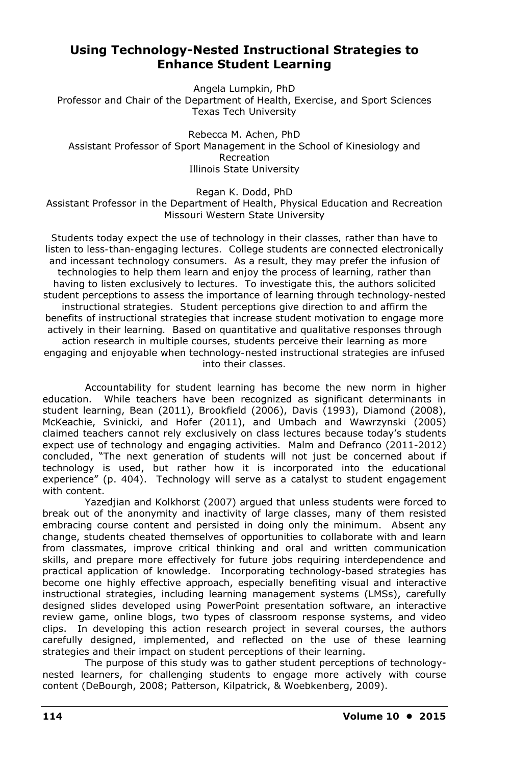# **Using Technology-Nested Instructional Strategies to Enhance Student Learning**

Angela Lumpkin, PhD Professor and Chair of the Department of Health, Exercise, and Sport Sciences Texas Tech University

Rebecca M. Achen, PhD Assistant Professor of Sport Management in the School of Kinesiology and Recreation Illinois State University

Regan K. Dodd, PhD Assistant Professor in the Department of Health, Physical Education and Recreation Missouri Western State University

*Students today expect the use of technology in their classes, rather than have to listen to less-than-engaging lectures. College students are connected electronically and incessant technology consumers. As a result, they may prefer the infusion of technologies to help them learn and enjoy the process of learning, rather than having to listen exclusively to lectures. To investigate this, the authors solicited student perceptions to assess the importance of learning through technology-nested instructional strategies. Student perceptions give direction to and affirm the benefits of instructional strategies that increase student motivation to engage more actively in their learning. Based on quantitative and qualitative responses through action research in multiple courses, students perceive their learning as more engaging and enjoyable when technology-nested instructional strategies are infused into their classes.* 

Accountability for student learning has become the new norm in higher education. While teachers have been recognized as significant determinants in student learning, Bean (2011), Brookfield (2006), Davis (1993), Diamond (2008), McKeachie, Svinicki, and Hofer (2011), and Umbach and Wawrzynski (2005) claimed teachers cannot rely exclusively on class lectures because today's students expect use of technology and engaging activities. Malm and Defranco (2011-2012) concluded, "The next generation of students will not just be concerned about if technology is used, but rather how it is incorporated into the educational experience" (p. 404). Technology will serve as a catalyst to student engagement with content.

Yazedjian and Kolkhorst (2007) argued that unless students were forced to break out of the anonymity and inactivity of large classes, many of them resisted embracing course content and persisted in doing only the minimum. Absent any change, students cheated themselves of opportunities to collaborate with and learn from classmates, improve critical thinking and oral and written communication skills, and prepare more effectively for future jobs requiring interdependence and practical application of knowledge. Incorporating technology-based strategies has become one highly effective approach, especially benefiting visual and interactive instructional strategies, including learning management systems (LMSs), carefully designed slides developed using PowerPoint presentation software, an interactive review game, online blogs, two types of classroom response systems, and video clips. In developing this action research project in several courses, the authors carefully designed, implemented, and reflected on the use of these learning strategies and their impact on student perceptions of their learning.

The purpose of this study was to gather student perceptions of technologynested learners, for challenging students to engage more actively with course content (DeBourgh, 2008; Patterson, Kilpatrick, & Woebkenberg, 2009).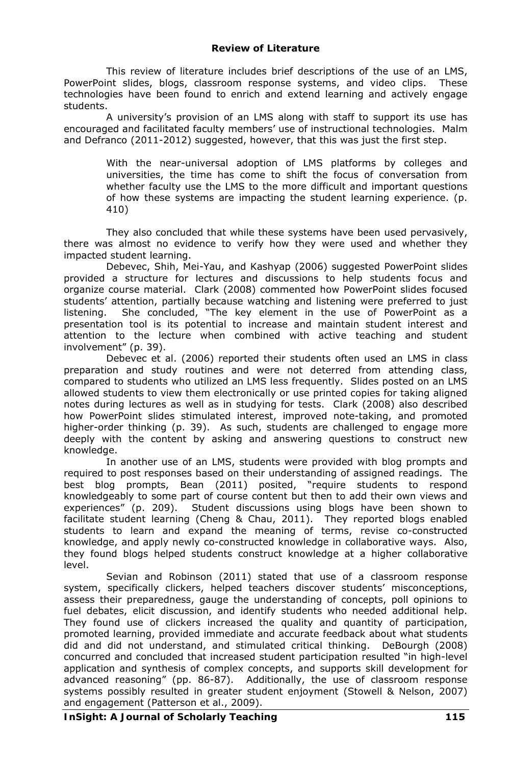This review of literature includes brief descriptions of the use of an LMS, PowerPoint slides, blogs, classroom response systems, and video clips. These technologies have been found to enrich and extend learning and actively engage students.

A university's provision of an LMS along with staff to support its use has encouraged and facilitated faculty members' use of instructional technologies. Malm and Defranco (2011-2012) suggested, however, that this was just the first step.

> With the near-universal adoption of LMS platforms by colleges and universities, the time has come to shift the focus of conversation from *whether* faculty use the LMS to the more difficult and important questions of *how* these systems are impacting the student learning experience. (p. 410)

They also concluded that while these systems have been used pervasively, there was almost no evidence to verify how they were used and whether they impacted student learning.

Debevec, Shih, Mei-Yau, and Kashyap (2006) suggested PowerPoint slides provided a structure for lectures and discussions to help students focus and organize course material. Clark (2008) commented how PowerPoint slides focused students' attention, partially because watching and listening were preferred to just listening. She concluded, "The key element in the use of PowerPoint as a presentation tool is its potential to increase and maintain student interest and attention to the lecture when combined with active teaching and student involvement" (p. 39).

Debevec et al. (2006) reported their students often used an LMS in class preparation and study routines and were not deterred from attending class, compared to students who utilized an LMS less frequently. Slides posted on an LMS allowed students to view them electronically or use printed copies for taking aligned notes during lectures as well as in studying for tests. Clark (2008) also described how PowerPoint slides stimulated interest, improved note-taking, and promoted higher-order thinking (p. 39). As such, students are challenged to engage more deeply with the content by asking and answering questions to construct new knowledge.

In another use of an LMS, students were provided with blog prompts and required to post responses based on their understanding of assigned readings. The best blog prompts, Bean (2011) posited, "require students to respond knowledgeably to some part of course content but then to add their own views and experiences" (p. 209). Student discussions using blogs have been shown to facilitate student learning (Cheng & Chau, 2011). They reported blogs enabled students to learn and expand the meaning of terms, revise co-constructed knowledge, and apply newly co-constructed knowledge in collaborative ways. Also, they found blogs helped students construct knowledge at a higher collaborative level.

Sevian and Robinson (2011) stated that use of a classroom response system, specifically clickers, helped teachers discover students' misconceptions, assess their preparedness, gauge the understanding of concepts, poll opinions to fuel debates, elicit discussion, and identify students who needed additional help. They found use of clickers increased the quality and quantity of participation, promoted learning, provided immediate and accurate feedback about what students did and did not understand, and stimulated critical thinking. DeBourgh (2008) concurred and concluded that increased student participation resulted "in high-level application and synthesis of complex concepts, and supports skill development for advanced reasoning" (pp. 86-87). Additionally, the use of classroom response systems possibly resulted in greater student enjoyment (Stowell & Nelson, 2007) and engagement (Patterson et al., 2009).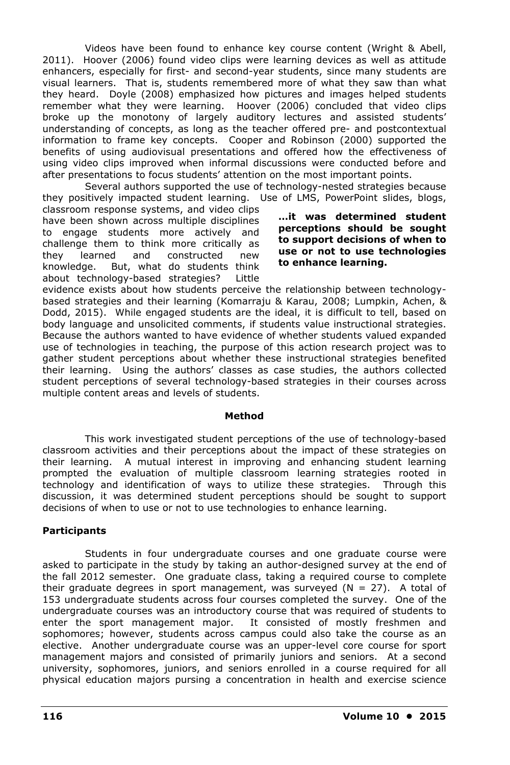Videos have been found to enhance key course content (Wright & Abell, 2011). Hoover (2006) found video clips were learning devices as well as attitude enhancers, especially for first- and second-year students, since many students are visual learners. That is, students remembered more of what they saw than what they heard. Doyle (2008) emphasized how pictures and images helped students remember what they were learning. Hoover (2006) concluded that video clips broke up the monotony of largely auditory lectures and assisted students' understanding of concepts, as long as the teacher offered pre- and postcontextual information to frame key concepts. Cooper and Robinson (2000) supported the benefits of using audiovisual presentations and offered how the effectiveness of using video clips improved when informal discussions were conducted before and after presentations to focus students' attention on the most important points.

Several authors supported the use of technology-nested strategies because they positively impacted student learning. Use of LMS, PowerPoint slides, blogs,

classroom response systems, and video clips have been shown across multiple disciplines to engage students more actively and challenge them to think more critically as they learned and constructed new knowledge. But, what do students think about technology-based strategies? Little

**…it was determined student perceptions should be sought to support decisions of when to use or not to use technologies to enhance learning.** 

evidence exists about how students perceive the relationship between technologybased strategies and their learning (Komarraju & Karau, 2008; Lumpkin, Achen, & Dodd, 2015). While engaged students are the ideal, it is difficult to tell, based on body language and unsolicited comments, if students value instructional strategies. Because the authors wanted to have evidence of whether students valued expanded use of technologies in teaching, the purpose of this action research project was to gather student perceptions about whether these instructional strategies benefited their learning. Using the authors' classes as case studies, the authors collected student perceptions of several technology-based strategies in their courses across multiple content areas and levels of students.

#### **Method**

This work investigated student perceptions of the use of technology-based classroom activities and their perceptions about the impact of these strategies on their learning. A mutual interest in improving and enhancing student learning prompted the evaluation of multiple classroom learning strategies rooted in technology and identification of ways to utilize these strategies. Through this discussion, it was determined student perceptions should be sought to support decisions of when to use or not to use technologies to enhance learning.

# **Participants**

Students in four undergraduate courses and one graduate course were asked to participate in the study by taking an author-designed survey at the end of the fall 2012 semester. One graduate class, taking a required course to complete their graduate degrees in sport management, was surveyed  $(N = 27)$ . A total of 153 undergraduate students across four courses completed the survey. One of the undergraduate courses was an introductory course that was required of students to enter the sport management major. It consisted of mostly freshmen and sophomores; however, students across campus could also take the course as an elective. Another undergraduate course was an upper-level core course for sport management majors and consisted of primarily juniors and seniors. At a second university, sophomores, juniors, and seniors enrolled in a course required for all physical education majors pursing a concentration in health and exercise science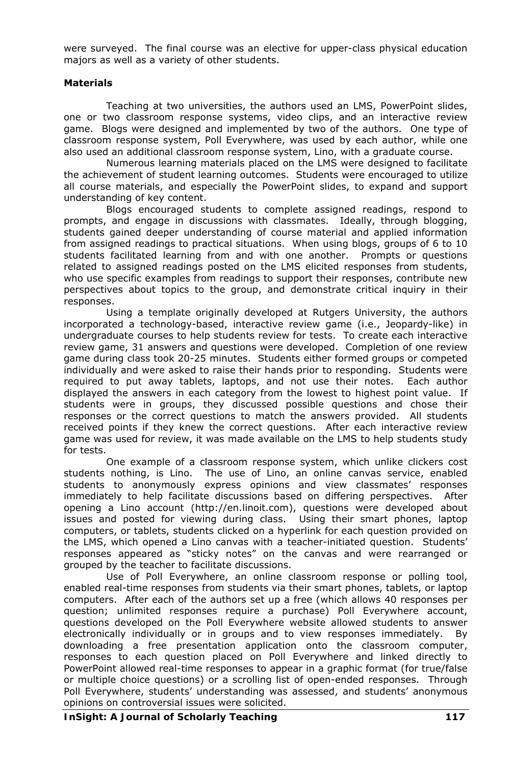were surveyed. The final course was an elective for upper-class physical education majors as well as a variety of other students.

## **Materials**

Teaching at two universities, the authors used an LMS, PowerPoint slides, one or two classroom response systems, video clips, and an interactive review game. Blogs were designed and implemented by two of the authors. One type of classroom response system, Poll Everywhere, was used by each author, while one also used an additional classroom response system, Lino, with a graduate course.

Numerous learning materials placed on the LMS were designed to facilitate the achievement of student learning outcomes. Students were encouraged to utilize all course materials, and especially the PowerPoint slides, to expand and support understanding of key content.

Blogs encouraged students to complete assigned readings, respond to prompts, and engage in discussions with classmates. Ideally, through blogging, students gained deeper understanding of course material and applied information from assigned readings to practical situations. When using blogs, groups of 6 to 10 students facilitated learning from and with one another. Prompts or questions related to assigned readings posted on the LMS elicited responses from students, who use specific examples from readings to support their responses, contribute new perspectives about topics to the group, and demonstrate critical inquiry in their responses.

Using a template originally developed at Rutgers University, the authors incorporated a technology-based, interactive review game (i.e., Jeopardy-like) in undergraduate courses to help students review for tests. To create each interactive review game, 31 answers and questions were developed. Completion of one review game during class took 20-25 minutes. Students either formed groups or competed individually and were asked to raise their hands prior to responding. Students were required to put away tablets, laptops, and not use their notes. Each author displayed the answers in each category from the lowest to highest point value. If students were in groups, they discussed possible questions and chose their responses or the correct questions to match the answers provided. All students received points if they knew the correct questions. After each interactive review game was used for review, it was made available on the LMS to help students study for tests.

One example of a classroom response system, which unlike clickers cost students nothing, is Lino. The use of Lino, an online canvas service, enabled students to anonymously express opinions and view classmates' responses immediately to help facilitate discussions based on differing perspectives. After opening a Lino account (http://en.linoit.com), questions were developed about issues and posted for viewing during class. Using their smart phones, laptop computers, or tablets, students clicked on a hyperlink for each question provided on the LMS, which opened a Lino canvas with a teacher-initiated question. Students' responses appeared as "sticky notes" on the canvas and were rearranged or grouped by the teacher to facilitate discussions.

Use of Poll Everywhere, an online classroom response or polling tool, enabled real-time responses from students via their smart phones, tablets, or laptop computers. After each of the authors set up a free (which allows 40 responses per question; unlimited responses require a purchase) Poll Everywhere account, questions developed on the Poll Everywhere website allowed students to answer electronically individually or in groups and to view responses immediately. By downloading a free presentation application onto the classroom computer, responses to each question placed on Poll Everywhere and linked directly to PowerPoint allowed real-time responses to appear in a graphic format (for true/false or multiple choice questions) or a scrolling list of open-ended responses. Through Poll Everywhere, students' understanding was assessed, and students' anonymous opinions on controversial issues were solicited.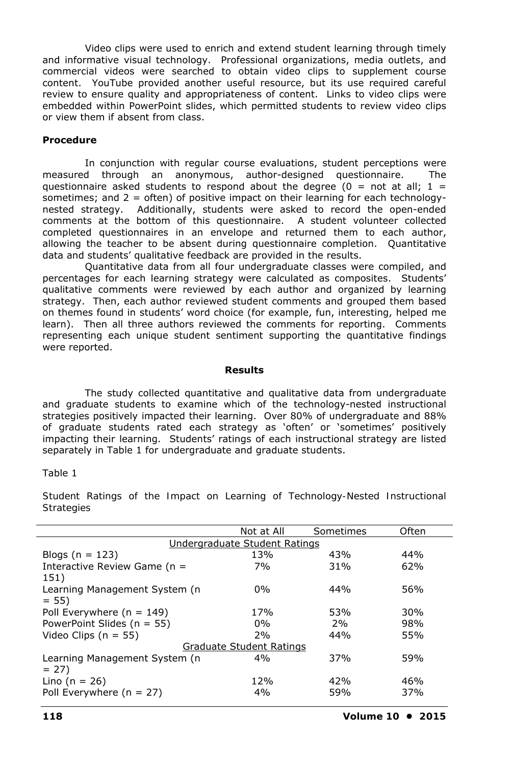Video clips were used to enrich and extend student learning through timely and informative visual technology. Professional organizations, media outlets, and commercial videos were searched to obtain video clips to supplement course content. YouTube provided another useful resource, but its use required careful review to ensure quality and appropriateness of content. Links to video clips were embedded within PowerPoint slides, which permitted students to review video clips or view them if absent from class.

### **Procedure**

In conjunction with regular course evaluations, student perceptions were measured through an anonymous, author-designed questionnaire. The questionnaire asked students to respond about the degree ( $0 =$  not at all;  $1 =$ sometimes; and  $2 =$  often) of positive impact on their learning for each technologynested strategy. Additionally, students were asked to record the open-ended comments at the bottom of this questionnaire. A student volunteer collected completed questionnaires in an envelope and returned them to each author, allowing the teacher to be absent during questionnaire completion. Quantitative data and students' qualitative feedback are provided in the results.

Quantitative data from all four undergraduate classes were compiled, and percentages for each learning strategy were calculated as composites. Students' qualitative comments were reviewed by each author and organized by learning strategy. Then, each author reviewed student comments and grouped them based on themes found in students' word choice (for example, fun, interesting, helped me learn). Then all three authors reviewed the comments for reporting. Comments representing each unique student sentiment supporting the quantitative findings were reported.

#### **Results**

The study collected quantitative and qualitative data from undergraduate and graduate students to examine which of the technology-nested instructional strategies positively impacted their learning. Over 80% of undergraduate and 88% of graduate students rated each strategy as 'often' or 'sometimes' positively impacting their learning. Students' ratings of each instructional strategy are listed separately in Table 1 for undergraduate and graduate students.

#### Table 1

|                                 | Not at All | Sometimes | Often |  |
|---------------------------------|------------|-----------|-------|--|
|                                 |            |           |       |  |
| Undergraduate Student Ratings   |            |           |       |  |
| Blogs ( $n = 123$ )             | 13%        | 43%       | 44%   |  |
| Interactive Review Game ( $n =$ | 7%         | 31%       | 62%   |  |
| 151)                            |            |           |       |  |
| Learning Management System (n   | $0\%$      | 44%       | 56%   |  |
| $= 55$                          |            |           |       |  |
| Poll Everywhere ( $n = 149$ )   | 17%        | 53%       | 30%   |  |
| PowerPoint Slides ( $n = 55$ )  | $0\%$      | 2%        | 98%   |  |
| Video Clips ( $n = 55$ )        | 2%         | 44%       | 55%   |  |
| Graduate Student Ratings        |            |           |       |  |
| Learning Management System (n   | 4%         | 37%       | 59%   |  |
| $= 27$                          |            |           |       |  |
| Lino ( $n = 26$ )               | 12%        | 42%       | 46%   |  |
| Poll Everywhere ( $n = 27$ )    | 4%         | 59%       | 37%   |  |
|                                 |            |           |       |  |

*Student Ratings of the Impact on Learning of Technology-Nested Instructional Strategies*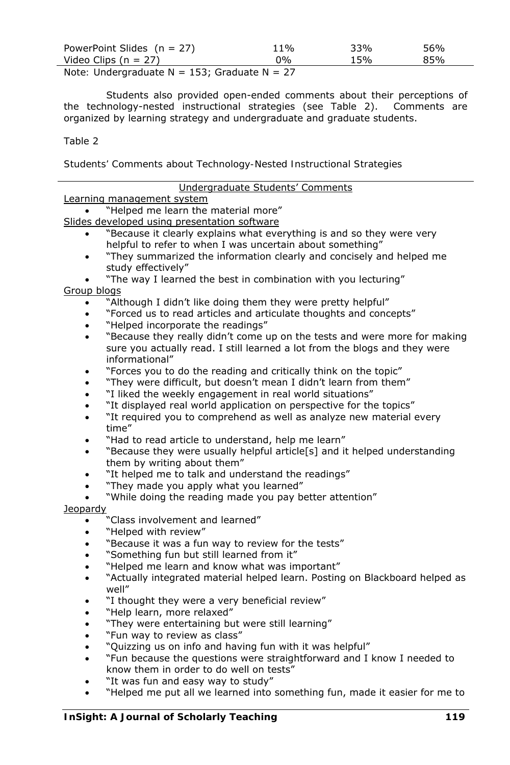| PowerPoint Slides $(n = 27)$                                  | 11% | 33% | 56% |
|---------------------------------------------------------------|-----|-----|-----|
| Video Clips ( $n = 27$ )                                      | በ‰  | 15% | 85% |
| $M = L$ . The densing direct solution of EQ. Core directes M. |     |     |     |

*Note:* Undergraduate N = 153; Graduate N = 27

Students also provided open-ended comments about their perceptions of the technology-nested instructional strategies (see Table 2). Comments are organized by learning strategy and undergraduate and graduate students.

# Table 2

*Students' Comments about Technology-Nested Instructional Strategies*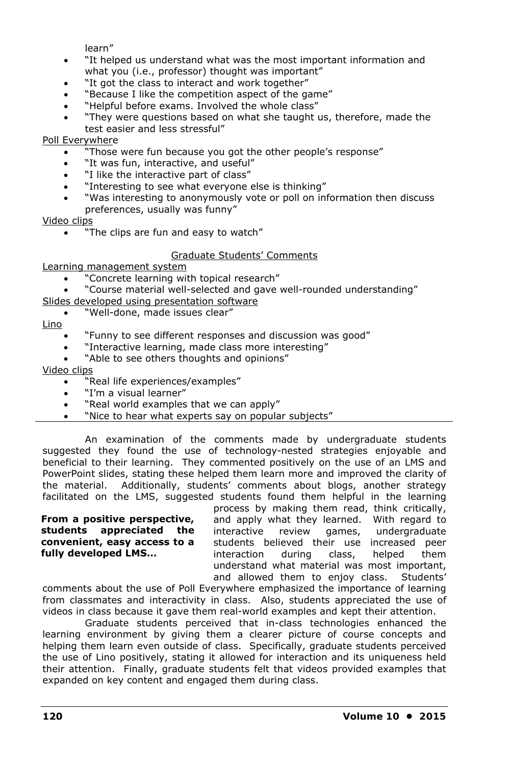learn"

- "It helped us understand what was the most important information and what you (i.e., professor) thought was important"
- "It got the class to interact and work together"
- "Because I like the competition aspect of the game"
- "Helpful before exams. Involved the whole class"
- "They were questions based on what she taught us, therefore, made the test easier and less stressful"

# Poll Everywhere

- "Those were fun because you got the other people's response"
- "It was fun, interactive, and useful"
- "I like the interactive part of class"
- "Interesting to see what everyone else is thinking"
- "Was interesting to anonymously vote or poll on information then discuss preferences, usually was funny"

Video clips

. "The clips are fun and easy to watch"

# Graduate Students' Comments

Learning management system

- "Concrete learning with topical research"
- "Course material well-selected and gave well-rounded understanding"
- Slides developed using presentation software
	- "Well-done, made issues clear"

Lino

- "Funny to see different responses and discussion was good"
- "Interactive learning, made class more interesting"
- "Able to see others thoughts and opinions"

Video clips

- "Real life experiences/examples"
- "I'm a visual learner"
- "Real world examples that we can apply"
- . "Nice to hear what experts say on popular subjects"

An examination of the comments made by undergraduate students suggested they found the use of technology-nested strategies enjoyable and beneficial to their learning. They commented positively on the use of an LMS and PowerPoint slides, stating these helped them learn more and improved the clarity of the material. Additionally, students' comments about blogs, another strategy facilitated on the LMS, suggested students found them helpful in the learning

#### **From a positive perspective, students appreciated the convenient, easy access to a fully developed LMS…**

process by making them read, think critically, and apply what they learned. With regard to interactive review games, undergraduate students believed their use increased peer interaction during class, helped them understand what material was most important, and allowed them to enjoy class. Students'

comments about the use of Poll Everywhere emphasized the importance of learning from classmates and interactivity in class. Also, students appreciated the use of videos in class because it gave them real-world examples and kept their attention.

Graduate students perceived that in-class technologies enhanced the learning environment by giving them a clearer picture of course concepts and helping them learn even outside of class. Specifically, graduate students perceived the use of Lino positively, stating it allowed for interaction and its uniqueness held their attention. Finally, graduate students felt that videos provided examples that expanded on key content and engaged them during class.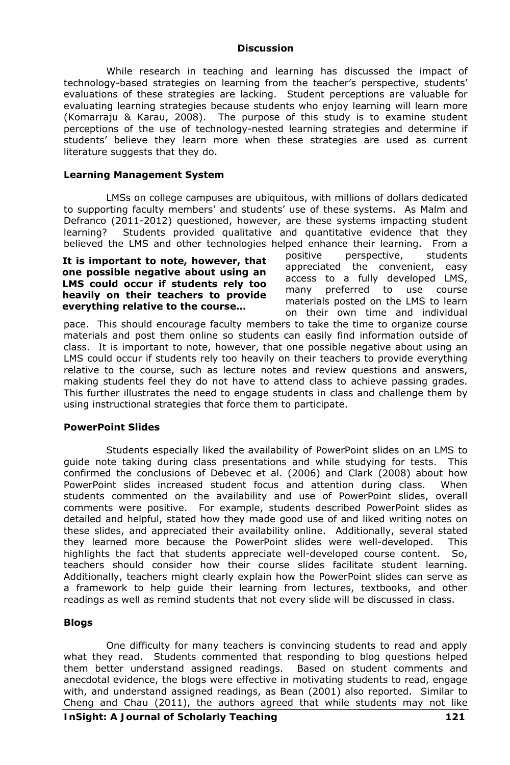#### **Discussion**

While research in teaching and learning has discussed the impact of technology-based strategies on learning from the teacher's perspective, students' evaluations of these strategies are lacking. Student perceptions are valuable for evaluating learning strategies because students who enjoy learning will learn more (Komarraju & Karau, 2008). The purpose of this study is to examine student perceptions of the use of technology-nested learning strategies and determine if students' believe they learn more when these strategies are used as current literature suggests that they do.

## **Learning Management System**

LMSs on college campuses are ubiquitous, with millions of dollars dedicated to supporting faculty members' and students' use of these systems. As Malm and Defranco (2011-2012) questioned, however, are these systems impacting student learning? Students provided qualitative and quantitative evidence that they believed the LMS and other technologies helped enhance their learning. From a

**It is important to note, however, that one possible negative about using an LMS could occur if students rely too heavily on their teachers to provide everything relative to the course…** 

positive perspective, students appreciated the convenient, easy access to a fully developed LMS, many preferred to use course materials posted on the LMS to learn on their own time and individual

pace. This should encourage faculty members to take the time to organize course materials and post them online so students can easily find information outside of class. It is important to note, however, that one possible negative about using an LMS could occur if students rely too heavily on their teachers to provide everything relative to the course, such as lecture notes and review questions and answers, making students feel they do not have to attend class to achieve passing grades. This further illustrates the need to engage students in class and challenge them by using instructional strategies that force them to participate.

#### **PowerPoint Slides**

Students especially liked the availability of PowerPoint slides on an LMS to guide note taking during class presentations and while studying for tests. This confirmed the conclusions of Debevec et al. (2006) and Clark (2008) about how PowerPoint slides increased student focus and attention during class. When students commented on the availability and use of PowerPoint slides, overall comments were positive. For example, students described PowerPoint slides as detailed and helpful, stated how they made good use of and liked writing notes on these slides, and appreciated their availability online. Additionally, several stated they learned more because the PowerPoint slides were well-developed. This highlights the fact that students appreciate well-developed course content. So, teachers should consider how their course slides facilitate student learning. Additionally, teachers might clearly explain how the PowerPoint slides can serve as a framework to help guide their learning from lectures, textbooks, and other readings as well as remind students that not every slide will be discussed in class.

## **Blogs**

One difficulty for many teachers is convincing students to read and apply what they read. Students commented that responding to blog questions helped them better understand assigned readings. Based on student comments and anecdotal evidence, the blogs were effective in motivating students to read, engage with, and understand assigned readings, as Bean (2001) also reported. Similar to Cheng and Chau (2011), the authors agreed that while students may not like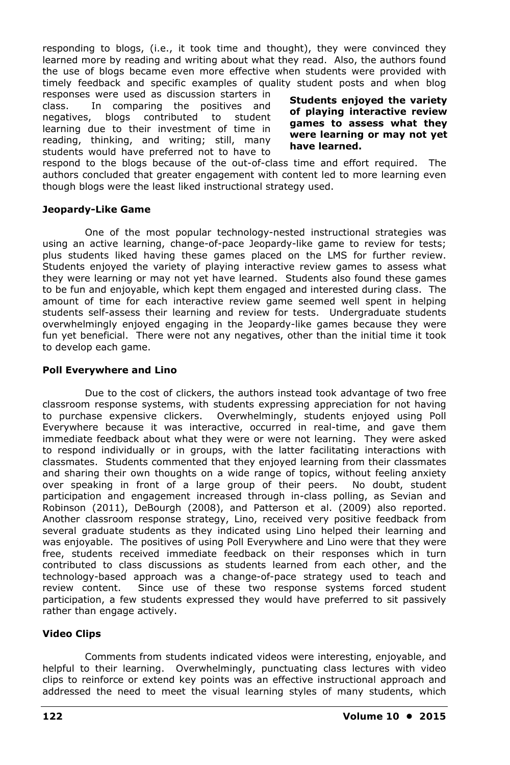responding to blogs, (i.e., it took time and thought), they were convinced they learned more by reading and writing about what they read. Also, the authors found the use of blogs became even more effective when students were provided with timely feedback and specific examples of quality student posts and when blog

responses were used as discussion starters in class. In comparing the positives and negatives, blogs contributed to student learning due to their investment of time in reading, thinking, and writing; still, many students would have preferred not to have to

**Students enjoyed the variety of playing interactive review games to assess what they were learning or may not yet have learned.** 

respond to the blogs because of the out-of-class time and effort required. The authors concluded that greater engagement with content led to more learning even though blogs were the least liked instructional strategy used.

# **Jeopardy-Like Game**

One of the most popular technology-nested instructional strategies was using an active learning, change-of-pace Jeopardy-like game to review for tests; plus students liked having these games placed on the LMS for further review. Students enjoyed the variety of playing interactive review games to assess what they were learning or may not yet have learned. Students also found these games to be fun and enjoyable, which kept them engaged and interested during class. The amount of time for each interactive review game seemed well spent in helping students self-assess their learning and review for tests. Undergraduate students overwhelmingly enjoyed engaging in the Jeopardy-like games because they were fun yet beneficial. There were not any negatives, other than the initial time it took to develop each game.

## **Poll Everywhere and Lino**

Due to the cost of clickers, the authors instead took advantage of two free classroom response systems, with students expressing appreciation for not having to purchase expensive clickers. Overwhelmingly, students enjoyed using Poll Everywhere because it was interactive, occurred in real-time, and gave them immediate feedback about what they were or were not learning. They were asked to respond individually or in groups, with the latter facilitating interactions with classmates. Students commented that they enjoyed learning from their classmates and sharing their own thoughts on a wide range of topics, without feeling anxiety over speaking in front of a large group of their peers. No doubt, student participation and engagement increased through in-class polling, as Sevian and Robinson (2011), DeBourgh (2008), and Patterson et al. (2009) also reported. Another classroom response strategy, Lino, received very positive feedback from several graduate students as they indicated using Lino helped their learning and was enjoyable. The positives of using Poll Everywhere and Lino were that they were free, students received immediate feedback on their responses which in turn contributed to class discussions as students learned from each other, and the technology-based approach was a change-of-pace strategy used to teach and review content. Since use of these two response systems forced student participation, a few students expressed they would have preferred to sit passively rather than engage actively.

# **Video Clips**

Comments from students indicated videos were interesting, enjoyable, and helpful to their learning. Overwhelmingly, punctuating class lectures with video clips to reinforce or extend key points was an effective instructional approach and addressed the need to meet the visual learning styles of many students, which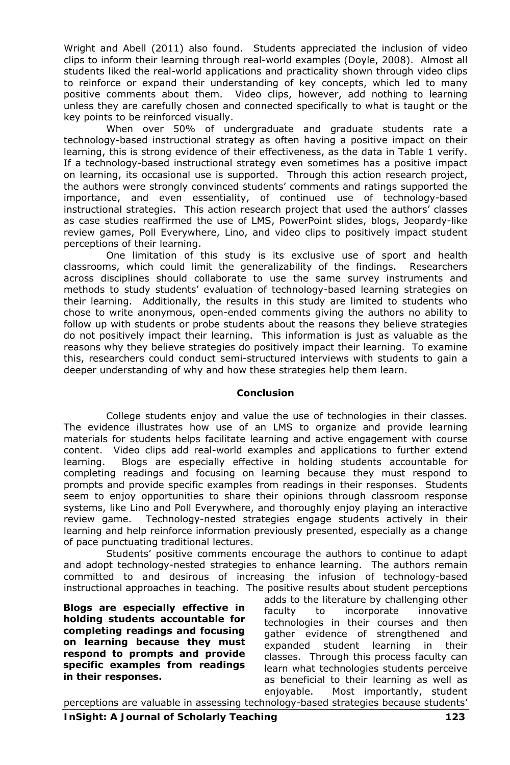Wright and Abell (2011) also found. Students appreciated the inclusion of video clips to inform their learning through real-world examples (Doyle, 2008). Almost all students liked the real-world applications and practicality shown through video clips to reinforce or expand their understanding of key concepts, which led to many positive comments about them. Video clips, however, add nothing to learning unless they are carefully chosen and connected specifically to what is taught or the key points to be reinforced visually.

When over 50% of undergraduate and graduate students rate a technology-based instructional strategy as *often* having a positive impact on their learning, this is strong evidence of their effectiveness, as the data in Table 1 verify. If a technology-based instructional strategy even *sometimes* has a positive impact on learning, its occasional use is supported. Through this action research project, the authors were strongly convinced students' comments and ratings supported the importance, and even essentiality, of continued use of technology-based instructional strategies. This action research project that used the authors' classes as case studies reaffirmed the use of LMS, PowerPoint slides, blogs, Jeopardy-like review games, Poll Everywhere, Lino, and video clips to positively impact student perceptions of their learning.

One limitation of this study is its exclusive use of sport and health classrooms, which could limit the generalizability of the findings. Researchers across disciplines should collaborate to use the same survey instruments and methods to study students' evaluation of technology-based learning strategies on their learning. Additionally, the results in this study are limited to students who chose to write anonymous, open-ended comments giving the authors no ability to follow up with students or probe students about the reasons they believe strategies do not positively impact their learning. This information is just as valuable as the reasons why they believe strategies do positively impact their learning. To examine this, researchers could conduct semi-structured interviews with students to gain a deeper understanding of why and how these strategies help them learn.

## **Conclusion**

College students enjoy and value the use of technologies in their classes. The evidence illustrates how use of an LMS to organize and provide learning materials for students helps facilitate learning and active engagement with course content. Video clips add real-world examples and applications to further extend learning. Blogs are especially effective in holding students accountable for completing readings and focusing on learning because they must respond to prompts and provide specific examples from readings in their responses. Students seem to enjoy opportunities to share their opinions through classroom response systems, like Lino and Poll Everywhere, and thoroughly enjoy playing an interactive review game. Technology-nested strategies engage students actively in their learning and help reinforce information previously presented, especially as a change of pace punctuating traditional lectures.

Students' positive comments encourage the authors to continue to adapt and adopt technology-nested strategies to enhance learning. The authors remain committed to and desirous of increasing the infusion of technology-based instructional approaches in teaching. The positive results about student perceptions

**Blogs are especially effective in holding students accountable for completing readings and focusing on learning because they must respond to prompts and provide specific examples from readings in their responses.** 

adds to the literature by challenging other faculty to incorporate innovative technologies in their courses and then gather evidence of strengthened and expanded student learning in their classes. Through this process faculty can learn what technologies students perceive as beneficial to their learning as well as enjoyable. Most importantly, student

*InSight: A Journal of Scholarly Teaching* **123** perceptions are valuable in assessing technology-based strategies because students'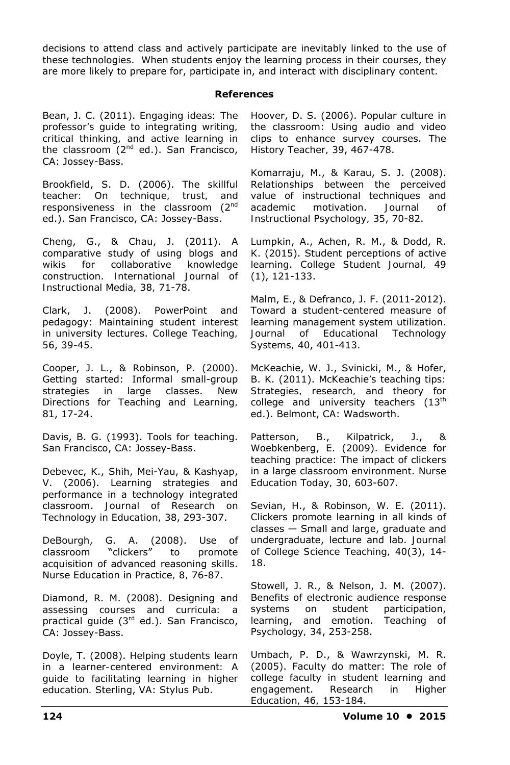decisions to attend class and actively participate are inevitably linked to the use of these technologies. When students enjoy the learning process in their courses, they are more likely to prepare for, participate in, and interact with disciplinary content.

### **References**

Bean, J. C. (2011). *Engaging ideas: The professor's guide to integrating writing, critical thinking, and active learning in the classroom* (2nd ed.). San Francisco, CA: Jossey-Bass.

Brookfield, S. D. (2006). *The skillful teacher: On technique, trust, and responsiveness in the classroom* (2nd ed.). San Francisco, CA: Jossey-Bass.

Cheng, G., & Chau, J. (2011). A comparative study of using blogs and wikis for collaborative knowledge construction. *International Journal of Instructional Media, 38,* 71-78.

Clark, J. (2008). PowerPoint and pedagogy: Maintaining student interest in university lectures. *College Teaching, 56*, 39-45.

Cooper, J. L., & Robinson, P. (2000). Getting started: Informal small-group strategies in large classes. *New Directions for Teaching and Learning, 81*, 17-24.

Davis, B. G. (1993). *Tools for teaching*. San Francisco, CA: Jossey-Bass.

Debevec, K., Shih, Mei-Yau, & Kashyap, V. (2006). Learning strategies and performance in a technology integrated classroom. *Journal of Research on Technology in Education, 38*, 293-307.

DeBourgh, G. A. (2008). Use of classroom "clickers" to promote acquisition of advanced reasoning skills. *Nurse Education in Practice, 8,* 76-87.

Diamond, R. M. (2008). *Designing and assessing courses and curricula: a practical guide* (3rd ed.). San Francisco, CA: Jossey-Bass.

Doyle, T. (2008). *Helping students learn in a learner-centered environment: A guide to facilitating learning in higher education.* Sterling, VA: Stylus Pub.

Hoover, D. S. (2006). Popular culture in the classroom: Using audio and video clips to enhance survey courses. *The History Teacher, 39*, 467-478.

Komarraju, M., & Karau, S. J. (2008). Relationships between the perceived value of instructional techniques and academic motivation. *Journal of Instructional Psychology, 35*, 70-82.

Lumpkin, A., Achen, R. M., & Dodd, R. K. (2015). Student perceptions of active learning. *College Student Journal, 49* (1), 121-133.

Malm, E., & Defranco, J. F. (2011-2012). Toward a student-centered measure of learning management system utilization. *Journal of Educational Technology Systems, 40*, 401-413.

McKeachie, W. J., Svinicki, M., & Hofer, B. K. (2011). *McKeachie's teaching tips: Strategies, research, and theory for college and university teachers* (13th ed.). Belmont, CA: Wadsworth.

Patterson, B., Kilpatrick, J., & Woebkenberg, E. (2009). Evidence for teaching practice: The impact of clickers in a large classroom environment. *Nurse Education Today, 30,* 603-607.

Sevian, H., & Robinson, W. E. (2011). Clickers promote learning in all kinds of classes — Small and large, graduate and undergraduate, lecture and lab. *Journal of College Science Teaching, 40*(3), 14- 18.

Stowell, J. R., & Nelson, J. M. (2007). Benefits of electronic audience response systems on student participation, learning, and emotion. *Teaching of Psychology, 34*, 253-258.

Umbach, P. D., & Wawrzynski, M. R. (2005). Faculty do matter: The role of college faculty in student learning and engagement. *Research in Higher Education, 46,* 153-184.